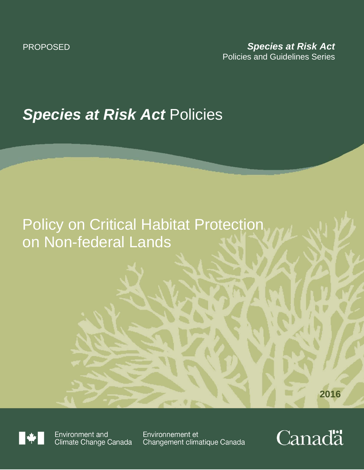# **Species at Risk Act Policies**

## Policy on Critical Habitat Protection on Non-federal Lands

**2016**



Environment and Climate Change Canada

Environnement et Changement climatique Canada

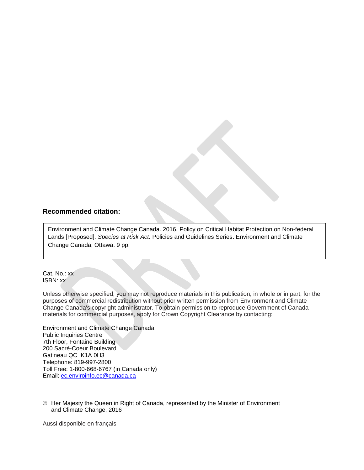#### **Recommended citation:**

Environment and Climate Change Canada. 2016. Policy on Critical Habitat Protection on Non-federal Lands [Proposed]. *Species at Risk Act:* Policies and Guidelines Series. Environment and Climate Change Canada, Ottawa. 9 pp.

Cat. No.: xx ISBN: xx

Unless otherwise specified, you may not reproduce materials in this publication, in whole or in part, for the purposes of commercial redistribution without prior written permission from Environment and Climate Change Canada's copyright administrator. To obtain permission to reproduce Government of Canada materials for commercial purposes, apply for Crown Copyright Clearance by contacting:

Environment and Climate Change Canada Public Inquiries Centre 7th Floor, Fontaine Building 200 Sacré-Coeur Boulevard Gatineau QC K1A 0H3 Telephone: 819-997-2800 Toll Free: 1-800-668-6767 (in Canada only) Email: [ec.enviroinfo.ec@canada.ca](mailto:ec.enviroinfo.ec@canada.ca)

© Her Majesty the Queen in Right of Canada, represented by the Minister of Environment and Climate Change, 2016

Aussi disponible en français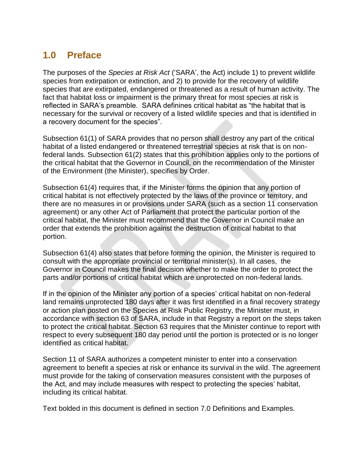## **1.0 Preface**

The purposes of the *Species at Risk Act* ('SARA', the Act) include 1) to prevent wildlife species from extirpation or extinction, and 2) to provide for the recovery of wildlife species that are extirpated, endangered or threatened as a result of human activity. The fact that habitat loss or impairment is the primary threat for most species at risk is reflected in SARA's preamble. SARA definines critical habitat as "the habitat that is necessary for the survival or recovery of a listed wildlife species and that is identified in a recovery document for the species".

Subsection 61(1) of SARA provides that no person shall destroy any part of the critical habitat of a listed endangered or threatened terrestrial species at risk that is on nonfederal lands. Subsection 61(2) states that this prohibition applies only to the portions of the critical habitat that the Governor in Council, on the recommendation of the Minister of the Environment (the Minister), specifies by Order.

Subsection 61(4) requires that, if the Minister forms the opinion that any portion of critical habitat is not effectively protected by the laws of the province or territory, and there are no measures in or provisions under SARA (such as a section 11 conservation agreement) or any other Act of Parliament that protect the particular portion of the critical habitat, the Minister must recommend that the Governor in Council make an order that extends the prohibition against the destruction of critical habitat to that portion.

Subsection 61(4) also states that before forming the opinion, the Minister is required to consult with the appropriate provincial or territorial minister(s). In all cases, the Governor in Council makes the final decision whether to make the order to protect the parts and/or portions of critical habitat which are unprotected on non-federal lands.

If in the opinion of the Minister any portion of a species' critical habitat on non-federal land remains unprotected 180 days after it was first identified in a final recovery strategy or action plan posted on the Species at Risk Public Registry, the Minister must, in accordance with section 63 of SARA, include in that Registry a report on the steps taken to protect the critical habitat. Section 63 requires that the Minister continue to report with respect to every subsequent 180 day period until the portion is protected or is no longer identified as critical habitat.

Section 11 of SARA authorizes a competent minister to enter into a conservation agreement to benefit a species at risk or enhance its survival in the wild. The agreement must provide for the taking of conservation measures consistent with the purposes of the Act, and may include measures with respect to protecting the species' habitat, including its critical habitat.

Text bolded in this document is defined in section 7.0 Definitions and Examples.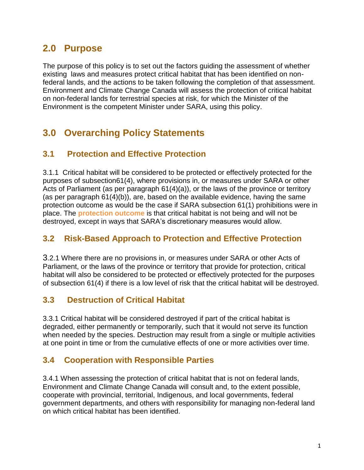## **2.0 Purpose**

The purpose of this policy is to set out the factors guiding the assessment of whether existing laws and measures protect critical habitat that has been identified on nonfederal lands, and the actions to be taken following the completion of that assessment. Environment and Climate Change Canada will assess the protection of critical habitat on non-federal lands for terrestrial species at risk, for which the Minister of the Environment is the competent Minister under SARA, using this policy.

## **3.0 Overarching Policy Statements**

#### **3.1 Protection and Effective Protection**

3.1.1 Critical habitat will be considered to be protected or effectively protected for the purposes of subsection61(4), where provisions in, or measures under SARA or other Acts of Parliament (as per paragraph 61(4)(a)), or the laws of the province or territory (as per paragraph 61(4)(b)), are, based on the available evidence, having the same protection outcome as would be the case if SARA subsection 61(1) prohibitions were in place. The **protection outcome** is that critical habitat is not being and will not be destroyed, except in ways that SARA's discretionary measures would allow.

#### **3.2 Risk-Based Approach to Protection and Effective Protection**

3.2.1 Where there are no provisions in, or measures under SARA or other Acts of Parliament, or the laws of the province or territory that provide for protection, critical habitat will also be considered to be protected or effectively protected for the purposes of subsection 61(4) if there is a low level of risk that the critical habitat will be destroyed.

#### **3.3 Destruction of Critical Habitat**

3.3.1 Critical habitat will be considered destroyed if part of the critical habitat is degraded, either permanently or temporarily, such that it would not serve its function when needed by the species. Destruction may result from a single or multiple activities at one point in time or from the cumulative effects of one or more activities over time.

#### **3.4 Cooperation with Responsible Parties**

3.4.1 When assessing the protection of critical habitat that is not on federal lands, Environment and Climate Change Canada will consult and, to the extent possible, cooperate with provincial, territorial, Indigenous, and local governments, federal government departments, and others with responsibility for managing non-federal land on which critical habitat has been identified.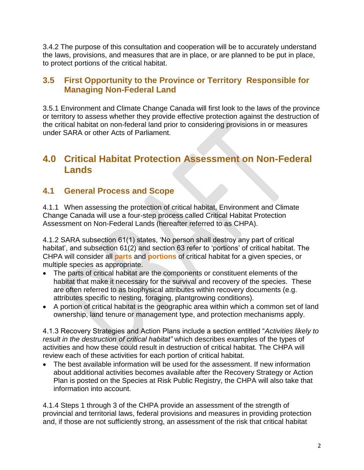3.4.2 The purpose of this consultation and cooperation will be to accurately understand the laws, provisions, and measures that are in place, or are planned to be put in place, to protect portions of the critical habitat.

#### **3.5 First Opportunity to the Province or Territory Responsible for Managing Non-Federal Land**

3.5.1 Environment and Climate Change Canada will first look to the laws of the province or territory to assess whether they provide effective protection against the destruction of the critical habitat on non-federal land prior to considering provisions in or measures under SARA or other Acts of Parliament.

## **4.0 Critical Habitat Protection Assessment on Non-Federal Lands**

#### **4.1 General Process and Scope**

4.1.1 When assessing the protection of critical habitat, Environment and Climate Change Canada will use a four-step process called Critical Habitat Protection Assessment on Non-Federal Lands (hereafter referred to as CHPA).

4.1.2 SARA subsection 61(1) states, 'No person shall destroy any part of critical habitat', and subsection 61(2) and section 63 refer to 'portions' of critical habitat. The CHPA will consider all **parts** and **portions** of critical habitat for a given species, or multiple species as appropriate.

- The parts of critical habitat are the components or constituent elements of the habitat that make it necessary for the survival and recovery of the species. These are often referred to as biophysical attributes within recovery documents (e.g. attributes specific to nesting, foraging, plantgrowing conditions).
- A portion of critical habitat is the geographic area within which a common set of land ownership, land tenure or management type, and protection mechanisms apply.

4.1.3 Recovery Strategies and Action Plans include a section entitled "*Activities likely to result in the destruction of critical habitat"* which describes examples of the types of activities and how these could result in destruction of critical habitat. The CHPA will review each of these activities for each portion of critical habitat.

 The best available information will be used for the assessment. If new information about additional activities becomes available after the Recovery Strategy or Action Plan is posted on the Species at Risk Public Registry, the CHPA will also take that information into account.

4.1.4 Steps 1 through 3 of the CHPA provide an assessment of the strength of provincial and territorial laws, federal provisions and measures in providing protection and, if those are not sufficiently strong, an assessment of the risk that critical habitat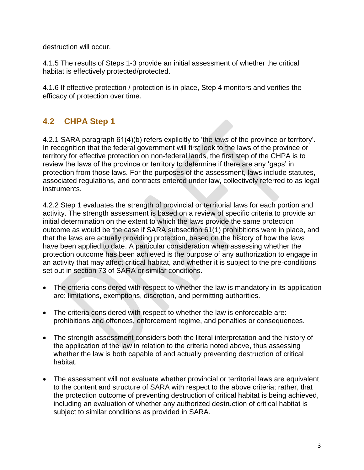destruction will occur.

4.1.5 The results of Steps 1-3 provide an initial assessment of whether the critical habitat is effectively protected/protected.

4.1.6 If effective protection / protection is in place, Step 4 monitors and verifies the efficacy of protection over time.

## **4.2 CHPA Step 1**

4.2.1 SARA paragraph 61(4)(b) refers explicitly to 'the *laws* of the province or territory'. In recognition that the federal government will first look to the laws of the province or territory for effective protection on non-federal lands, the first step of the CHPA is to review the laws of the province or territory to determine if there are any 'gaps' in protection from those laws. For the purposes of the assessment, laws include statutes, associated regulations, and contracts entered under law, collectively referred to as legal instruments.

4.2.2 Step 1 evaluates the strength of provincial or territorial laws for each portion and activity. The strength assessment is based on a review of specific criteria to provide an initial determination on the extent to which the laws provide the same protection outcome as would be the case if SARA subsection 61(1) prohibitions were in place, and that the laws are actually providing protection, based on the history of how the laws have been applied to date. A particular consideration when assessing whether the protection outcome has been achieved is the purpose of any authorization to engage in an activity that may affect critical habitat, and whether it is subject to the pre-conditions set out in section 73 of SARA or similar conditions.

- The criteria considered with respect to whether the law is mandatory in its application are: limitations, exemptions, discretion, and permitting authorities.
- The criteria considered with respect to whether the law is enforceable are: prohibitions and offences, enforcement regime, and penalties or consequences.
- The strength assessment considers both the literal interpretation and the history of the application of the law in relation to the criteria noted above, thus assessing whether the law is both capable of and actually preventing destruction of critical habitat.
- The assessment will not evaluate whether provincial or territorial laws are equivalent to the content and structure of SARA with respect to the above criteria; rather, that the protection outcome of preventing destruction of critical habitat is being achieved, including an evaluation of whether any authorized destruction of critical habitat is subject to similar conditions as provided in SARA.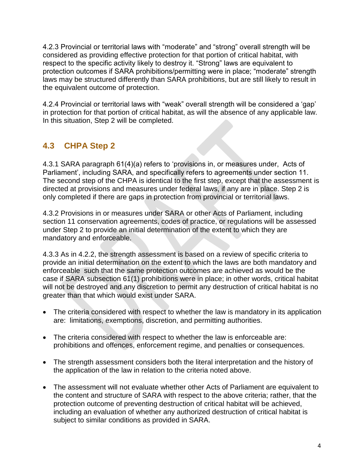4.2.3 Provincial or territorial laws with "moderate" and "strong" overall strength will be considered as providing effective protection for that portion of critical habitat, with respect to the specific activity likely to destroy it. "Strong" laws are equivalent to protection outcomes if SARA prohibitions/permitting were in place; "moderate" strength laws may be structured differently than SARA prohibitions, but are still likely to result in the equivalent outcome of protection.

4.2.4 Provincial or territorial laws with "weak" overall strength will be considered a 'gap' in protection for that portion of critical habitat, as will the absence of any applicable law. In this situation, Step 2 will be completed.

### **4.3 CHPA Step 2**

4.3.1 SARA paragraph 61(4)(a) refers to 'provisions in, or measures under, Acts of Parliament', including SARA, and specifically refers to agreements under section 11. The second step of the CHPA is identical to the first step, except that the assessment is directed at provisions and measures under federal laws, if any are in place. Step 2 is only completed if there are gaps in protection from provincial or territorial laws.

4.3.2 Provisions in or measures under SARA or other Acts of Parliament, including section 11 conservation agreements, codes of practice, or regulations will be assessed under Step 2 to provide an initial determination of the extent to which they are mandatory and enforceable.

4.3.3 As in 4.2.2, the strength assessment is based on a review of specific criteria to provide an initial determination on the extent to which the laws are both mandatory and enforceable such that the same protection outcomes are achieved as would be the case if SARA subsection 61(1) prohibitions were in place; in other words, critical habitat will not be destroyed and any discretion to permit any destruction of critical habitat is no greater than that which would exist under SARA.

- The criteria considered with respect to whether the law is mandatory in its application are: limitations, exemptions, discretion, and permitting authorities.
- The criteria considered with respect to whether the law is enforceable are: prohibitions and offences, enforcement regime, and penalties or consequences.
- The strength assessment considers both the literal interpretation and the history of the application of the law in relation to the criteria noted above.
- The assessment will not evaluate whether other Acts of Parliament are equivalent to the content and structure of SARA with respect to the above criteria; rather, that the protection outcome of preventing destruction of critical habitat will be achieved, including an evaluation of whether any authorized destruction of critical habitat is subject to similar conditions as provided in SARA.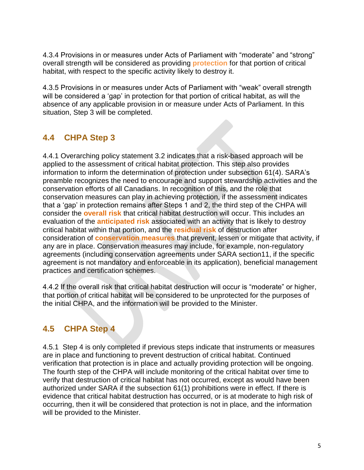4.3.4 Provisions in or measures under Acts of Parliament with "moderate" and "strong" overall strength will be considered as providing **protection** for that portion of critical habitat, with respect to the specific activity likely to destroy it.

4.3.5 Provisions in or measures under Acts of Parliament with "weak" overall strength will be considered a 'gap' in protection for that portion of critical habitat, as will the absence of any applicable provision in or measure under Acts of Parliament. In this situation, Step 3 will be completed.

## **4.4 CHPA Step 3**

4.4.1 Overarching policy statement 3.2 indicates that a risk-based approach will be applied to the assessment of critical habitat protection. This step also provides information to inform the determination of protection under subsection 61(4). SARA's preamble recognizes the need to encourage and support stewardship activities and the conservation efforts of all Canadians. In recognition of this, and the role that conservation measures can play in achieving protection, if the assessment indicates that a 'gap' in protection remains after Steps 1 and 2, the third step of the CHPA will consider the **overall risk** that critical habitat destruction will occur. This includes an evaluation of the **anticipated risk** associated with an activity that is likely to destroy critical habitat within that portion, and the **residual risk** of destruction after consideration of **conservation measures** that prevent, lessen or mitigate that activity, if any are in place. Conservation measures may include, for example, non-regulatory agreements (including conservation agreements under SARA section11, if the specific agreement is not mandatory and enforceable in its application), beneficial management practices and certification schemes.

4.4.2 If the overall risk that critical habitat destruction will occur is "moderate" or higher, that portion of critical habitat will be considered to be unprotected for the purposes of the initial CHPA, and the information will be provided to the Minister.

#### **4.5 CHPA Step 4**

4.5.1 Step 4 is only completed if previous steps indicate that instruments or measures are in place and functioning to prevent destruction of critical habitat. Continued verification that protection is in place and actually providing protection will be ongoing. The fourth step of the CHPA will include monitoring of the critical habitat over time to verify that destruction of critical habitat has not occurred, except as would have been authorized under SARA if the subsection 61(1) prohibitions were in effect. If there is evidence that critical habitat destruction has occurred, or is at moderate to high risk of occurring, then it will be considered that protection is not in place, and the information will be provided to the Minister.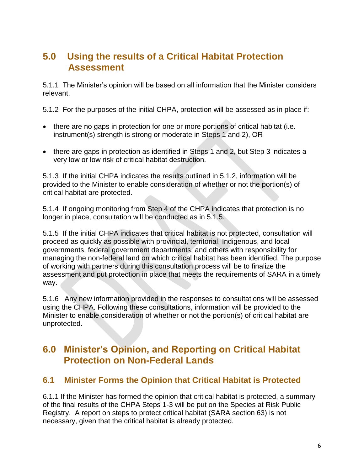## **5.0 Using the results of a Critical Habitat Protection Assessment**

5.1.1 The Minister's opinion will be based on all information that the Minister considers relevant.

5.1.2 For the purposes of the initial CHPA, protection will be assessed as in place if:

- there are no gaps in protection for one or more portions of critical habitat (i.e. instrument(s) strength is strong or moderate in Steps 1 and 2), OR
- there are gaps in protection as identified in Steps 1 and 2, but Step 3 indicates a very low or low risk of critical habitat destruction.

5.1.3 If the initial CHPA indicates the results outlined in 5.1.2, information will be provided to the Minister to enable consideration of whether or not the portion(s) of critical habitat are protected.

5.1.4 If ongoing monitoring from Step 4 of the CHPA indicates that protection is no longer in place, consultation will be conducted as in 5.1.5.

5.1.5 If the initial CHPA indicates that critical habitat is not protected, consultation will proceed as quickly as possible with provincial, territorial, Indigenous, and local governments, federal government departments, and others with responsibility for managing the non-federal land on which critical habitat has been identified. The purpose of working with partners during this consultation process will be to finalize the assessment and put protection in place that meets the requirements of SARA in a timely way.

5.1.6 Any new information provided in the responses to consultations will be assessed using the CHPA. Following these consultations, information will be provided to the Minister to enable consideration of whether or not the portion(s) of critical habitat are unprotected.

### **6.0 Minister's Opinion, and Reporting on Critical Habitat Protection on Non-Federal Lands**

#### **6.1 Minister Forms the Opinion that Critical Habitat is Protected**

6.1.1 If the Minister has formed the opinion that critical habitat is protected, a summary of the final results of the CHPA Steps 1-3 will be put on the Species at Risk Public Registry. A report on steps to protect critical habitat (SARA section 63) is not necessary, given that the critical habitat is already protected.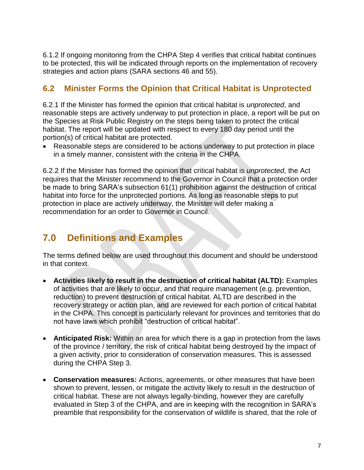6.1.2 If ongoing monitoring from the CHPA Step 4 verifies that critical habitat continues to be protected, this will be indicated through reports on the implementation of recovery strategies and action plans (SARA sections 46 and 55).

#### **6.2 Minister Forms the Opinion that Critical Habitat is Unprotected**

6.2.1 If the Minister has formed the opinion that critical habitat is *unprotected*, and reasonable steps are actively underway to put protection in place, a report will be put on the Species at Risk Public Registry on the steps being taken to protect the critical habitat. The report will be updated with respect to every 180 day period until the portion(s) of critical habitat are protected.

 Reasonable steps are considered to be actions underway to put protection in place in a timely manner, consistent with the criteria in the CHPA.

6.2.2 If the Minister has formed the opinion that critical habitat is *unprotected*, the Act requires that the Minister recommend to the Governor in Council that a protection order be made to bring SARA's subsection 61(1) prohibition against the destruction of critical habitat into force for the unprotected portions. As long as reasonable steps to put protection in place are actively underway, the Minister will defer making a recommendation for an order to Governor in Council.

## **7.0 Definitions and Examples**

The terms defined below are used throughout this document and should be understood in that context.

- **Activities likely to result in the destruction of critical habitat (ALTD):** Examples of activities that are likely to occur, and that require management (e.g. prevention, reduction) to prevent destruction of critical habitat. ALTD are described in the recovery strategy or action plan, and are reviewed for each portion of critical habitat in the CHPA. This concept is particularly relevant for provinces and territories that do not have laws which prohibit "destruction of critical habitat".
- **Anticipated Risk:** Within an area for which there is a gap in protection from the laws of the province / territory, the risk of critical habitat being destroyed by the impact of a given activity, prior to consideration of conservation measures. This is assessed during the CHPA Step 3.
- **Conservation measures:** Actions, agreements, or other measures that have been shown to prevent, lessen, or mitigate the activity likely to result in the destruction of critical habitat. These are not always legally-binding, however they are carefully evaluated in Step 3 of the CHPA, and are in keeping with the recognition in SARA's preamble that responsibility for the conservation of wildlife is shared, that the role of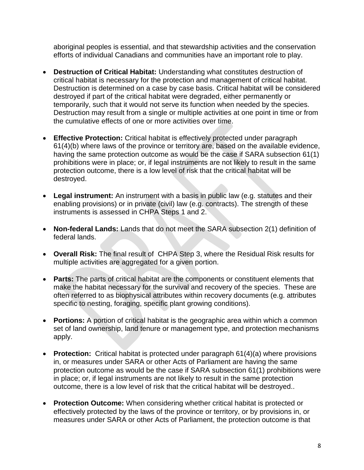aboriginal peoples is essential, and that stewardship activities and the conservation efforts of individual Canadians and communities have an important role to play.

- **Destruction of Critical Habitat:** Understanding what constitutes destruction of critical habitat is necessary for the protection and management of critical habitat. Destruction is determined on a case by case basis. Critical habitat will be considered destroyed if part of the critical habitat were degraded, either permanently or temporarily, such that it would not serve its function when needed by the species. Destruction may result from a single or multiple activities at one point in time or from the cumulative effects of one or more activities over time.
- **Effective Protection:** Critical habitat is effectively protected under paragraph 61(4)(b) where laws of the province or territory are, based on the available evidence, having the same protection outcome as would be the case if SARA subsection 61(1) prohibitions were in place; or, if legal instruments are not likely to result in the same protection outcome, there is a low level of risk that the critical habitat will be destroyed.
- **Legal instrument:** An instrument with a basis in public law (e.g. statutes and their enabling provisions) or in private (civil) law (e.g. contracts). The strength of these instruments is assessed in CHPA Steps 1 and 2.
- **Non-federal Lands:** Lands that do not meet the SARA subsection 2(1) definition of federal lands.
- **Overall Risk:** The final result of CHPA Step 3, where the Residual Risk results for multiple activities are aggregated for a given portion.
- **Parts:** The parts of critical habitat are the components or constituent elements that make the habitat necessary for the survival and recovery of the species. These are often referred to as biophysical attributes within recovery documents (e.g. attributes specific to nesting, foraging, specific plant growing conditions).
- **Portions:** A portion of critical habitat is the geographic area within which a common set of land ownership, land tenure or management type, and protection mechanisms apply.
- **Protection:** Critical habitat is protected under paragraph 61(4)(a) where provisions in, or measures under SARA or other Acts of Parliament are having the same protection outcome as would be the case if SARA subsection 61(1) prohibitions were in place; or, if legal instruments are not likely to result in the same protection outcome, there is a low level of risk that the critical habitat will be destroyed..
- **Protection Outcome:** When considering whether critical habitat is protected or effectively protected by the laws of the province or territory, or by provisions in, or measures under SARA or other Acts of Parliament, the protection outcome is that